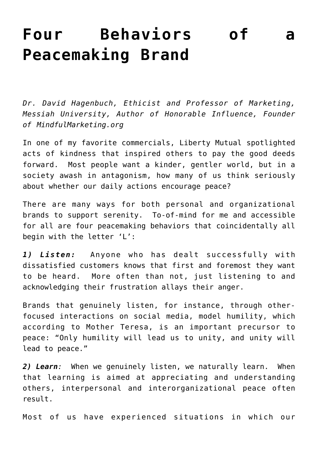## **[Four Behaviors of a](https://www.commpro.biz/four-behaviors-of-a-peacemaking-brand/) [Peacemaking Brand](https://www.commpro.biz/four-behaviors-of-a-peacemaking-brand/)**

*Dr. David Hagenbuch, Ethicist and Professor of Marketing, Messiah University, Author of [Honorable Influence,](http://www.honorableinfluence.com/) Founder of [MindfulMarketing.org](http://www.mindfulmarketing.org/)*

In one of my favorite commercials, Liberty Mutual spotlighted acts of kindness that inspired others to [pay the good deeds](https://www.youtube.com/watch?v=L5ya8J-jyK4) [forward](https://www.youtube.com/watch?v=L5ya8J-jyK4). Most people want a kinder, gentler world, but in a society awash in antagonism, how many of us think seriously about whether our daily actions encourage peace?

There are many ways for both personal and organizational brands to support serenity. To-of-mind for me and accessible for all are four peacemaking behaviors that coincidentally all begin with the letter 'L':

*1) Listen:* Anyone who has dealt successfully with dissatisfied customers knows that first and foremost they want to be heard. More often than not, just listening to and acknowledging their frustration allays their anger.

Brands that genuinely listen, for instance, through otherfocused interactions on social media, [model humility](https://www.entrepreneur.com/article/245299), which according to Mother Teresa, is an important precursor to peace: "Only humility will lead us to unity, and [unity will](https://www.azquotes.com/quote/873669) [lead to peace](https://www.azquotes.com/quote/873669)."

*2) Learn:* When we genuinely listen, we naturally learn. When that learning is aimed at appreciating and understanding others, interpersonal and interorganizational peace often result.

Most of us have experienced situations in which our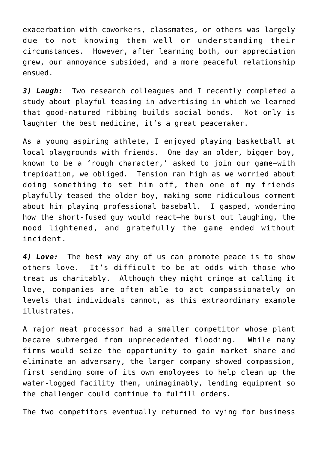exacerbation with coworkers, classmates, or others was largely due to not knowing them well or understanding their circumstances. However, after learning both, our appreciation grew, our annoyance subsided, and a more peaceful relationship ensued.

*3) Laugh:* Two research colleagues and I recently completed a study about playful teasing in advertising in which we learned that good-natured ribbing builds social bonds. Not only is laughter the best medicine, it's a great peacemaker.

As a young aspiring athlete, I enjoyed playing basketball at local playgrounds with friends. One day an older, bigger boy, known to be a 'rough character,' asked to join our game—with trepidation, we obliged. Tension ran high as we worried about doing something to set him off, then one of my friends playfully teased the older boy, making some ridiculous comment about him playing professional baseball. I gasped, wondering how the short-fused guy would react—he burst out laughing, the mood lightened, and gratefully the game ended without incident.

*4) Love:* The best way any of us can promote peace is to show others love. It's difficult to be at odds with those who treat us charitably. Although they might cringe at calling it love, companies are often able to act compassionately on levels that individuals cannot, as this extraordinary example illustrates.

A major meat processor had a smaller competitor whose plant became submerged from unprecedented flooding. While many firms would seize the opportunity to gain market share and eliminate an adversary, the larger company showed compassion, first sending some of its own employees to help clean up the water-logged facility then, unimaginably, lending equipment so the challenger could continue to fulfill orders.

The two competitors eventually returned to vying for business